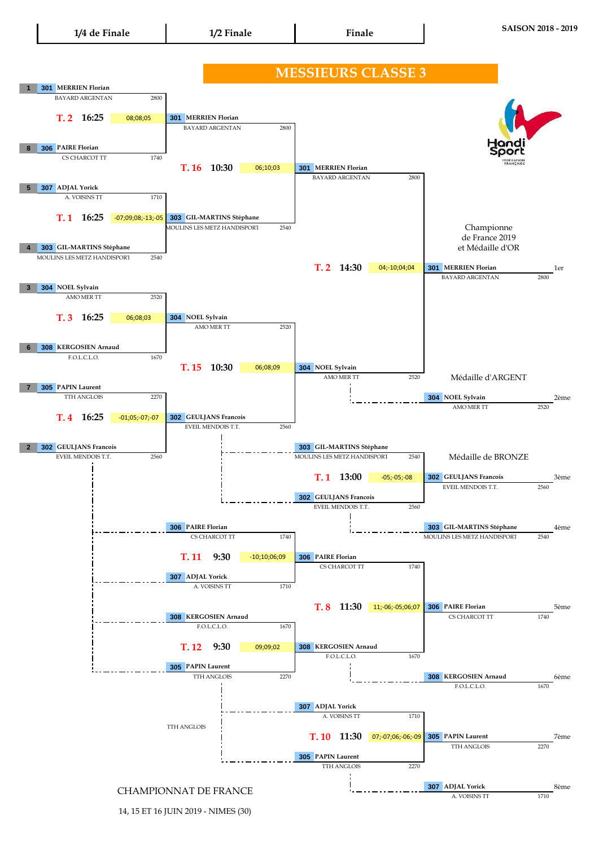

14, 15 ET 16 JUIN 2019 - NIMES (30)